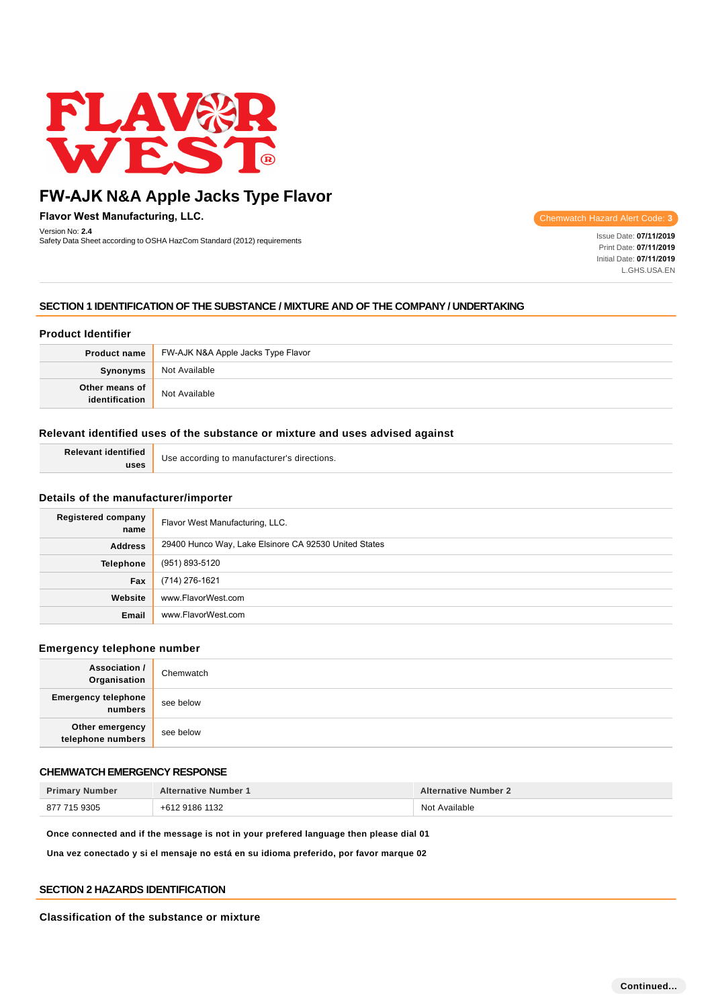

**Flavor West Manufacturing, LLC.**

Version No: **2.4** Safety Data Sheet according to OSHA HazCom Standard (2012) requirements Inc. **Inc. Issue Data Sheet according to OSHA HazCom Standard (2012) requirements Inc. and Issue Date: <b>07/11/2019** Issue Date: **07/11/2019** 

Chemwatch Hazard Alert Code: **3**

Print Date: **07/11/2019**  Initial Date: **07/11/2019**  L.GHS.USA.EN

# **SECTION 1 IDENTIFICATION OF THE SUBSTANCE / MIXTURE AND OF THE COMPANY / UNDERTAKING**

# **Product Identifier**

|                              | <b>Product name</b> FW-AJK N&A Apple Jacks Type Flavor |
|------------------------------|--------------------------------------------------------|
| <b>Synonyms</b>              | Not Available                                          |
| Other means of dentification | Not Available                                          |

# **Relevant identified uses of the substance or mixture and uses advised against**

| <b>Relevant identified</b> | Use according to manufacturer's directions. |
|----------------------------|---------------------------------------------|
| uses                       |                                             |

### **Details of the manufacturer/importer**

| Registered company<br>name | Flavor West Manufacturing, LLC.                       |
|----------------------------|-------------------------------------------------------|
| <b>Address</b>             | 29400 Hunco Way, Lake Elsinore CA 92530 United States |
| Telephone                  | (951) 893-5120                                        |
| Fax                        | (714) 276-1621                                        |
| Website                    | www.FlavorWest.com                                    |
| Email                      | www.FlavorWest.com                                    |

### **Emergency telephone number**

| <b>Association /</b><br>Organisation  | Chemwatch |
|---------------------------------------|-----------|
| <b>Emergency telephone</b><br>numbers | see below |
| Other emergency<br>telephone numbers  | see below |

# **CHEMWATCH EMERGENCY RESPONSE**

| <b>Primary Number</b> | <b>Alternative Number 1</b> | <b>Alternative Number 2</b> |
|-----------------------|-----------------------------|-----------------------------|
| 877 715 9305          | +612 9186 1132              | Not Available               |

**Once connected and if the message is not in your prefered language then please dial 01**

**Una vez conectado y si el mensaje no está en su idioma preferido, por favor marque 02**

### **SECTION 2 HAZARDS IDENTIFICATION**

**Classification of the substance or mixture**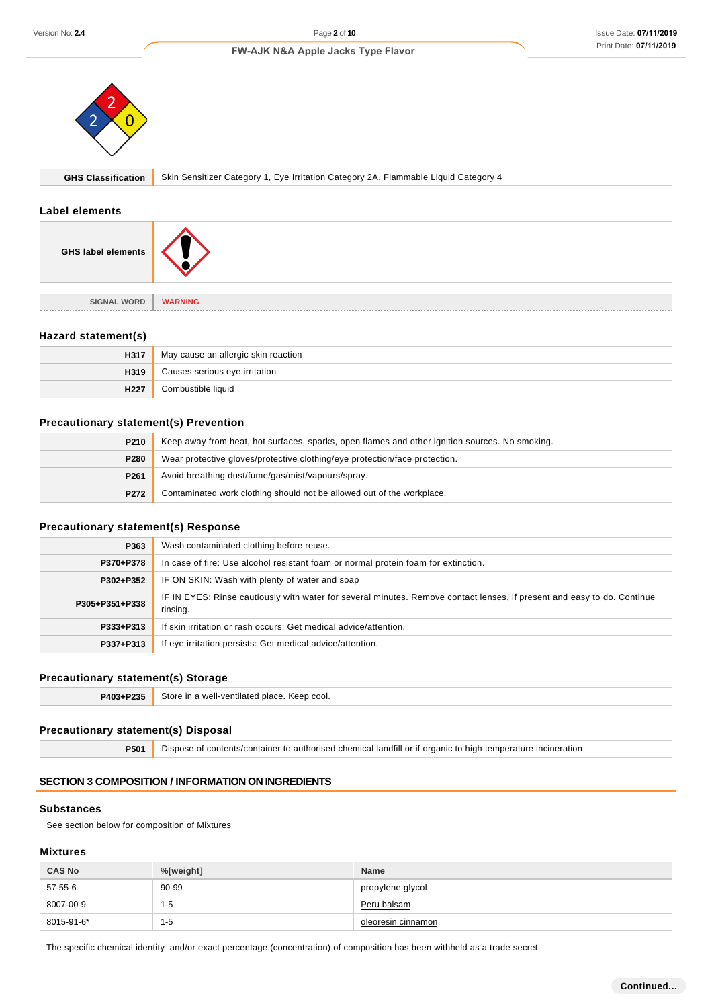

### **Label elements**



#### **Hazard statement(s)**

| H317 | May cause an allergic skin reaction |
|------|-------------------------------------|
| H319 | Causes serious eye irritation       |
| H227 | Combustible liquid                  |

### **Precautionary statement(s) Prevention**

| P210 | Keep away from heat, hot surfaces, sparks, open flames and other ignition sources. No smoking. |  |
|------|------------------------------------------------------------------------------------------------|--|
| P280 | Wear protective gloves/protective clothing/eye protection/face protection.                     |  |
| P261 | Avoid breathing dust/fume/gas/mist/vapours/spray.                                              |  |
| P272 | Contaminated work clothing should not be allowed out of the workplace.                         |  |

### **Precautionary statement(s) Response**

| Version No: 2.4                                                                       | Page 2 of 10                                                                                                                        |                                                                            | Issue Date: 07/11/201 |
|---------------------------------------------------------------------------------------|-------------------------------------------------------------------------------------------------------------------------------------|----------------------------------------------------------------------------|-----------------------|
|                                                                                       | FW-AJK N&A Apple Jacks Type Flavor                                                                                                  |                                                                            | Print Date: 07/11/201 |
|                                                                                       |                                                                                                                                     |                                                                            |                       |
| <b>GHS Classification</b>                                                             | Skin Sensitizer Category 1, Eye Irritation Category 2A, Flammable Liquid Category 4                                                 |                                                                            |                       |
| <b>Label elements</b>                                                                 |                                                                                                                                     |                                                                            |                       |
| <b>GHS label elements</b>                                                             |                                                                                                                                     |                                                                            |                       |
| <b>SIGNAL WORD</b>                                                                    | <b>WARNING</b>                                                                                                                      |                                                                            |                       |
|                                                                                       |                                                                                                                                     |                                                                            |                       |
| Hazard statement(s)                                                                   |                                                                                                                                     |                                                                            |                       |
| H317                                                                                  | May cause an allergic skin reaction                                                                                                 |                                                                            |                       |
| H319                                                                                  | Causes serious eye irritation                                                                                                       |                                                                            |                       |
| H227                                                                                  | Combustible liquid                                                                                                                  |                                                                            |                       |
| <b>Precautionary statement(s) Prevention</b>                                          |                                                                                                                                     |                                                                            |                       |
| P210                                                                                  | Keep away from heat, hot surfaces, sparks, open flames and other ignition sources. No smoking.                                      |                                                                            |                       |
| P280                                                                                  |                                                                                                                                     | Wear protective gloves/protective clothing/eye protection/face protection. |                       |
| P261                                                                                  | Avoid breathing dust/fume/gas/mist/vapours/spray.                                                                                   |                                                                            |                       |
| P272                                                                                  | Contaminated work clothing should not be allowed out of the workplace.                                                              |                                                                            |                       |
| <b>Precautionary statement(s) Response</b>                                            |                                                                                                                                     |                                                                            |                       |
| P363                                                                                  | Wash contaminated clothing before reuse.                                                                                            |                                                                            |                       |
| P370+P378                                                                             | In case of fire: Use alcohol resistant foam or normal protein foam for extinction.                                                  |                                                                            |                       |
| P302+P352                                                                             | IF ON SKIN: Wash with plenty of water and soap                                                                                      |                                                                            |                       |
| P305+P351+P338                                                                        | IF IN EYES: Rinse cautiously with water for several minutes. Remove contact lenses, if present and easy to do. Continue<br>rinsing. |                                                                            |                       |
| P333+P313                                                                             | If skin irritation or rash occurs: Get medical advice/attention.                                                                    |                                                                            |                       |
| P337+P313                                                                             | If eye irritation persists: Get medical advice/attention.                                                                           |                                                                            |                       |
| <b>Precautionary statement(s) Storage</b>                                             |                                                                                                                                     |                                                                            |                       |
| P403+P235                                                                             | Store in a well-ventilated place. Keep cool.                                                                                        |                                                                            |                       |
| <b>Precautionary statement(s) Disposal</b>                                            |                                                                                                                                     |                                                                            |                       |
| P501                                                                                  | Dispose of contents/container to authorised chemical landfill or if organic to high temperature incineration                        |                                                                            |                       |
|                                                                                       | <b>SECTION 3 COMPOSITION / INFORMATION ON INGREDIENTS</b>                                                                           |                                                                            |                       |
| <b>Substances</b><br>See section below for composition of Mixtures<br><b>Mixtures</b> |                                                                                                                                     |                                                                            |                       |
| <b>CAS No</b>                                                                         | %[weight]                                                                                                                           | Name                                                                       |                       |
| $57-55-6$                                                                             | 90-99                                                                                                                               | propylene glycol                                                           |                       |
| 8007-00-9                                                                             | $1 - 5$                                                                                                                             | Peru balsam                                                                |                       |
| 8015-91-6*                                                                            | $1 - 5$                                                                                                                             | oleoresin cinnamon                                                         |                       |

### **Precautionary statement(s) Storage**

| P403+P235 | Store in a well-ventilated place. Keep cool.<br>. |
|-----------|---------------------------------------------------|
|           |                                                   |

# **Precautionary statement(s) Disposal**

# **SECTION 3 COMPOSITION / INFORMATION ON INGREDIENTS**

### **Substances**

### **Mixtures**

| <b>CAS No</b> | %[weight] | <b>Name</b>        |
|---------------|-----------|--------------------|
| 57-55-6       | 90-99     | propylene glycol   |
| 8007-00-9     | '-5       | Peru balsam        |
| 8015-91-6*    | -5        | oleoresin cinnamon |

The specific chemical identity and/or exact percentage (concentration) of composition has been withheld as a trade secret.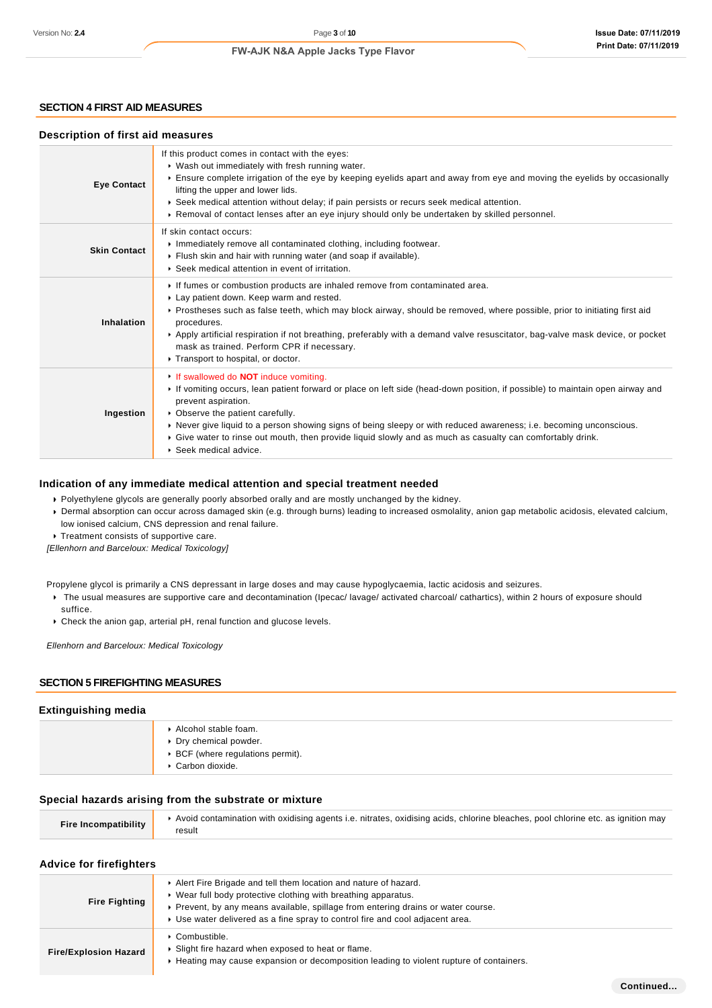# **SECTION 4 FIRST AID MEASURES**

#### **Description of first aid measures**

| <b>Eye Contact</b>  | If this product comes in contact with the eyes:<br>▶ Wash out immediately with fresh running water.<br>Ensure complete irrigation of the eye by keeping eyelids apart and away from eye and moving the eyelids by occasionally<br>lifting the upper and lower lids.<br>▶ Seek medical attention without delay; if pain persists or recurs seek medical attention.<br>▶ Removal of contact lenses after an eye injury should only be undertaken by skilled personnel.                                  |
|---------------------|-------------------------------------------------------------------------------------------------------------------------------------------------------------------------------------------------------------------------------------------------------------------------------------------------------------------------------------------------------------------------------------------------------------------------------------------------------------------------------------------------------|
| <b>Skin Contact</b> | If skin contact occurs:<br>Immediately remove all contaminated clothing, including footwear.<br>Flush skin and hair with running water (and soap if available).<br>▶ Seek medical attention in event of irritation.                                                                                                                                                                                                                                                                                   |
| Inhalation          | If fumes or combustion products are inhaled remove from contaminated area.<br>Lay patient down. Keep warm and rested.<br>▶ Prostheses such as false teeth, which may block airway, should be removed, where possible, prior to initiating first aid<br>procedures.<br>Apply artificial respiration if not breathing, preferably with a demand valve resuscitator, bag-valve mask device, or pocket<br>mask as trained. Perform CPR if necessary.<br>Transport to hospital, or doctor.                 |
| Ingestion           | If swallowed do <b>NOT</b> induce vomiting.<br>If vomiting occurs, lean patient forward or place on left side (head-down position, if possible) to maintain open airway and<br>prevent aspiration.<br>• Observe the patient carefully.<br>▶ Never give liquid to a person showing signs of being sleepy or with reduced awareness; i.e. becoming unconscious.<br>▶ Give water to rinse out mouth, then provide liquid slowly and as much as casualty can comfortably drink.<br>▶ Seek medical advice. |

#### **Indication of any immediate medical attention and special treatment needed**

Polyethylene glycols are generally poorly absorbed orally and are mostly unchanged by the kidney.

Dermal absorption can occur across damaged skin (e.g. through burns) leading to increased osmolality, anion gap metabolic acidosis, elevated calcium, low ionised calcium, CNS depression and renal failure.

Treatment consists of supportive care.

[Ellenhorn and Barceloux: Medical Toxicology]

- Propylene glycol is primarily a CNS depressant in large doses and may cause hypoglycaemia, lactic acidosis and seizures.
	- ▶ The usual measures are supportive care and decontamination (Ipecac/ lavage/ activated charcoal/ cathartics), within 2 hours of exposure should suffice.
	- Check the anion gap, arterial pH, renal function and glucose levels.

Ellenhorn and Barceloux: Medical Toxicology

#### **SECTION 5 FIREFIGHTING MEASURES**

#### **Extinguishing media**

| Alcohol stable foam.<br>▶ Dry chemical powder.<br>▶ BCF (where regulations permit).<br>Carbon dioxide. |
|--------------------------------------------------------------------------------------------------------|
|                                                                                                        |

#### **Special hazards arising from the substrate or mixture**

|                             | ▶ Avoid contamination with oxidising agents i.e. nitrates, oxidising acids, chlorine bleaches, pool chlorine etc. as ignition may |
|-----------------------------|-----------------------------------------------------------------------------------------------------------------------------------|
| <b>Fire Incompatibility</b> | result                                                                                                                            |

#### **Advice for firefighters**

| <b>Fire Fighting</b>         | Alert Fire Brigade and tell them location and nature of hazard.<br>▶ Wear full body protective clothing with breathing apparatus.<br>• Prevent, by any means available, spillage from entering drains or water course.<br>► Use water delivered as a fine spray to control fire and cool adjacent area. |  |  |
|------------------------------|---------------------------------------------------------------------------------------------------------------------------------------------------------------------------------------------------------------------------------------------------------------------------------------------------------|--|--|
| <b>Fire/Explosion Hazard</b> | • Combustible.<br>• Slight fire hazard when exposed to heat or flame.<br>► Heating may cause expansion or decomposition leading to violent rupture of containers.                                                                                                                                       |  |  |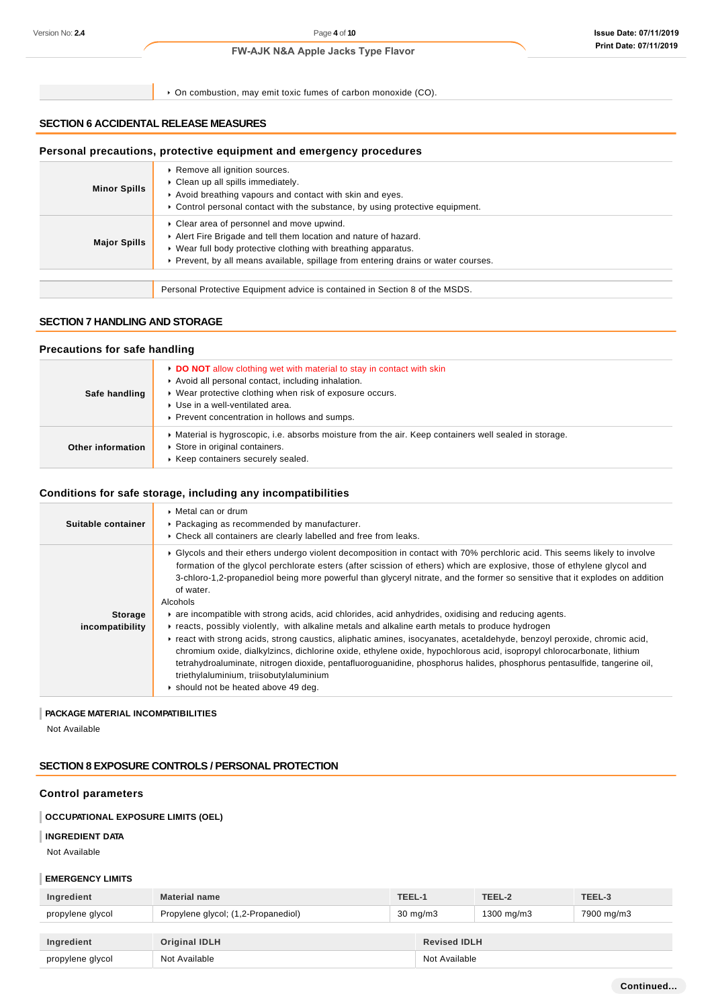| Version No: 2.4     | Page 4 of 10<br><b>FW-AJK N&amp;A Apple Jacks Type Flavor</b>                                                                                                                                                                                                       |  | <b>Issue Date: 07/11/2019</b> |
|---------------------|---------------------------------------------------------------------------------------------------------------------------------------------------------------------------------------------------------------------------------------------------------------------|--|-------------------------------|
|                     |                                                                                                                                                                                                                                                                     |  | Print Date: 07/11/2019        |
|                     | • On combustion, may emit toxic fumes of carbon monoxide (CO).                                                                                                                                                                                                      |  |                               |
|                     | <b>SECTION 6 ACCIDENTAL RELEASE MEASURES</b>                                                                                                                                                                                                                        |  |                               |
|                     | Personal precautions, protective equipment and emergency procedures                                                                                                                                                                                                 |  |                               |
| <b>Minor Spills</b> | Remove all ignition sources.<br>Clean up all spills immediately.<br>Avoid breathing vapours and contact with skin and eyes.<br>► Control personal contact with the substance, by using protective equipment.                                                        |  |                               |
| <b>Major Spills</b> | Clear area of personnel and move upwind.<br>Alert Fire Brigade and tell them location and nature of hazard.<br>▶ Wear full body protective clothing with breathing apparatus.<br>► Prevent, by all means available, spillage from entering drains or water courses. |  |                               |
|                     | Personal Protective Equipment advice is contained in Section 8 of the MSDS.                                                                                                                                                                                         |  |                               |

# **SECTION 7 HANDLING AND STORAGE**

### **Precautions for safe handling**

| Safe handling     | ► DO NOT allow clothing wet with material to stay in contact with skin<br>Avoid all personal contact, including inhalation.<br>▶ Wear protective clothing when risk of exposure occurs.<br>▶ Use in a well-ventilated area.<br>▶ Prevent concentration in hollows and sumps. |
|-------------------|------------------------------------------------------------------------------------------------------------------------------------------------------------------------------------------------------------------------------------------------------------------------------|
| Other information | • Material is hygroscopic, i.e. absorbs moisture from the air. Keep containers well sealed in storage.<br>Store in original containers.<br>▶ Keep containers securely sealed.                                                                                                |

# **Conditions for safe storage, including any incompatibilities**

| Suitable container         | ▶ Metal can or drum<br>• Packaging as recommended by manufacturer.<br>• Check all containers are clearly labelled and free from leaks.                                                                                                                                                                                                                                                                                                                                                                                                                                                                                                                                                                                                                                                                                                                                                                                                                                                                                                                                                   |
|----------------------------|------------------------------------------------------------------------------------------------------------------------------------------------------------------------------------------------------------------------------------------------------------------------------------------------------------------------------------------------------------------------------------------------------------------------------------------------------------------------------------------------------------------------------------------------------------------------------------------------------------------------------------------------------------------------------------------------------------------------------------------------------------------------------------------------------------------------------------------------------------------------------------------------------------------------------------------------------------------------------------------------------------------------------------------------------------------------------------------|
| Storage<br>incompatibility | ▶ Glycols and their ethers undergo violent decomposition in contact with 70% perchloric acid. This seems likely to involve<br>formation of the glycol perchlorate esters (after scission of ethers) which are explosive, those of ethylene glycol and<br>3-chloro-1,2-propanediol being more powerful than glyceryl nitrate, and the former so sensitive that it explodes on addition<br>of water.<br>Alcohols<br>are incompatible with strong acids, acid chlorides, acid anhydrides, oxidising and reducing agents.<br>reacts, possibly violently, with alkaline metals and alkaline earth metals to produce hydrogen<br>Freact with strong acids, strong caustics, aliphatic amines, isocyanates, acetaldehyde, benzoyl peroxide, chromic acid,<br>chromium oxide, dialkylzincs, dichlorine oxide, ethylene oxide, hypochlorous acid, isopropyl chlorocarbonate, lithium<br>tetrahydroaluminate, nitrogen dioxide, pentafluoroguanidine, phosphorus halides, phosphorus pentasulfide, tangerine oil,<br>triethylaluminium, triisobutylaluminium<br>Should not be heated above 49 deg. |

# **PACKAGE MATERIAL INCOMPATIBILITIES**

Not Available

# **SECTION 8 EXPOSURE CONTROLS / PERSONAL PROTECTION**

# **Control parameters**

# **OCCUPATIONAL EXPOSURE LIMITS (OEL)**

#### **INGREDIENT DATA**

Not Available

# **EMERGENCY LIMITS**

| Ingredient       | <b>Material name</b>                | TEEL-1            |                     | TEEL-2     | TEEL-3     |
|------------------|-------------------------------------|-------------------|---------------------|------------|------------|
| propylene glycol | Propylene glycol; (1,2-Propanediol) | $30 \text{ mg/m}$ |                     | 1300 mg/m3 | 7900 mg/m3 |
|                  |                                     |                   |                     |            |            |
| Ingredient       | <b>Original IDLH</b>                |                   | <b>Revised IDLH</b> |            |            |
| propylene glycol | Not Available                       |                   | Not Available       |            |            |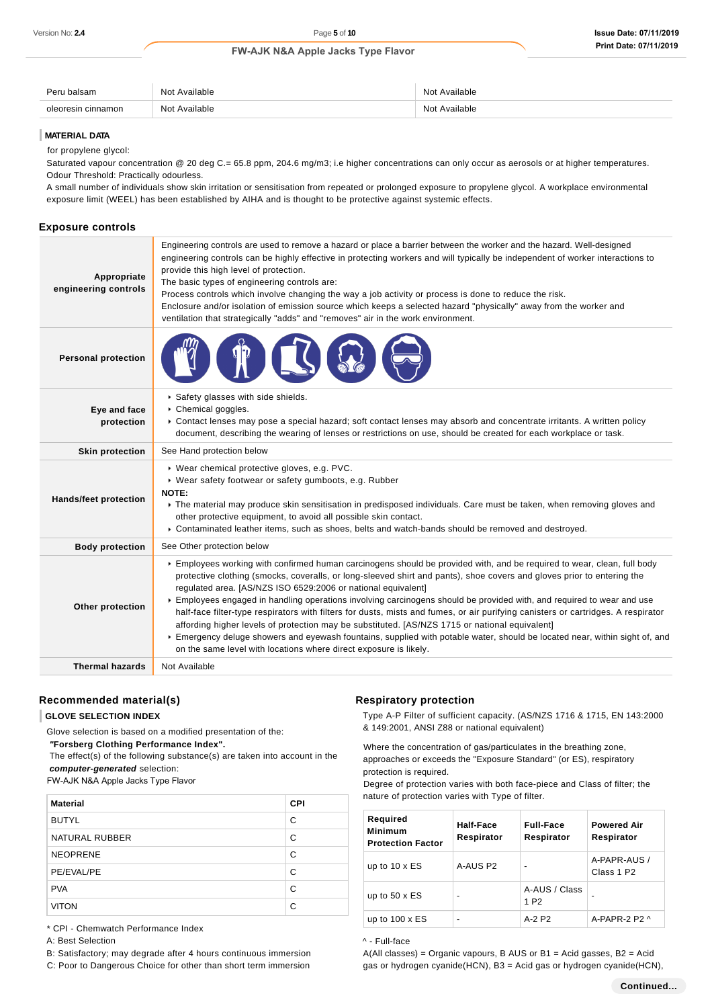| െ<br>≌alsam<br>. | Available<br>Not      | Nnt<br>: Available<br>.                      |
|------------------|-----------------------|----------------------------------------------|
| amor             | Available<br>Not<br>. | $\cdots$<br><b>NI</b> nt<br>: Available<br>. |

#### **MATERIAL DATA**

for propylene glycol:

Saturated vapour concentration @ 20 deg C.= 65.8 ppm, 204.6 mg/m3; i.e higher concentrations can only occur as aerosols or at higher temperatures. Odour Threshold: Practically odourless.

A small number of individuals show skin irritation or sensitisation from repeated or prolonged exposure to propylene glycol. A workplace environmental exposure limit (WEEL) has been established by AIHA and is thought to be protective against systemic effects.

### **Exposure controls**

| Appropriate<br>engineering controls | Engineering controls are used to remove a hazard or place a barrier between the worker and the hazard. Well-designed<br>engineering controls can be highly effective in protecting workers and will typically be independent of worker interactions to<br>provide this high level of protection.<br>The basic types of engineering controls are:<br>Process controls which involve changing the way a job activity or process is done to reduce the risk.<br>Enclosure and/or isolation of emission source which keeps a selected hazard "physically" away from the worker and<br>ventilation that strategically "adds" and "removes" air in the work environment.                                                                                                                                                                                                                |  |  |
|-------------------------------------|-----------------------------------------------------------------------------------------------------------------------------------------------------------------------------------------------------------------------------------------------------------------------------------------------------------------------------------------------------------------------------------------------------------------------------------------------------------------------------------------------------------------------------------------------------------------------------------------------------------------------------------------------------------------------------------------------------------------------------------------------------------------------------------------------------------------------------------------------------------------------------------|--|--|
| <b>Personal protection</b>          |                                                                                                                                                                                                                                                                                                                                                                                                                                                                                                                                                                                                                                                                                                                                                                                                                                                                                   |  |  |
| Eye and face<br>protection          | Safety glasses with side shields.<br>Chemical goggles.<br>▶ Contact lenses may pose a special hazard; soft contact lenses may absorb and concentrate irritants. A written policy<br>document, describing the wearing of lenses or restrictions on use, should be created for each workplace or task.                                                                                                                                                                                                                                                                                                                                                                                                                                                                                                                                                                              |  |  |
| <b>Skin protection</b>              | See Hand protection below                                                                                                                                                                                                                                                                                                                                                                                                                                                                                                                                                                                                                                                                                                                                                                                                                                                         |  |  |
| <b>Hands/feet protection</b>        | ▶ Wear chemical protective gloves, e.g. PVC.<br>• Wear safety footwear or safety gumboots, e.g. Rubber<br>NOTE:<br>The material may produce skin sensitisation in predisposed individuals. Care must be taken, when removing gloves and<br>other protective equipment, to avoid all possible skin contact.<br>▶ Contaminated leather items, such as shoes, belts and watch-bands should be removed and destroyed.                                                                                                                                                                                                                                                                                                                                                                                                                                                                 |  |  |
| <b>Body protection</b>              | See Other protection below                                                                                                                                                                                                                                                                                                                                                                                                                                                                                                                                                                                                                                                                                                                                                                                                                                                        |  |  |
| Other protection                    | Employees working with confirmed human carcinogens should be provided with, and be required to wear, clean, full body<br>protective clothing (smocks, coveralls, or long-sleeved shirt and pants), shoe covers and gloves prior to entering the<br>regulated area. [AS/NZS ISO 6529:2006 or national equivalent]<br>Employees engaged in handling operations involving carcinogens should be provided with, and required to wear and use<br>half-face filter-type respirators with filters for dusts, mists and fumes, or air purifying canisters or cartridges. A respirator<br>affording higher levels of protection may be substituted. [AS/NZS 1715 or national equivalent]<br>Emergency deluge showers and eyewash fountains, supplied with potable water, should be located near, within sight of, and<br>on the same level with locations where direct exposure is likely. |  |  |
| <b>Thermal hazards</b>              | Not Available                                                                                                                                                                                                                                                                                                                                                                                                                                                                                                                                                                                                                                                                                                                                                                                                                                                                     |  |  |
|                                     |                                                                                                                                                                                                                                                                                                                                                                                                                                                                                                                                                                                                                                                                                                                                                                                                                                                                                   |  |  |

### **Recommended material(s)**

#### **GLOVE SELECTION INDEX**

Glove selection is based on a modified presentation of the:

 **"Forsberg Clothing Performance Index".**

 The effect(s) of the following substance(s) are taken into account in the **computer-generated** selection:

FW-AJK N&A Apple Jacks Type Flavor

| <b>Material</b> | <b>CPI</b> |
|-----------------|------------|
| <b>BUTYL</b>    | С          |
| NATURAL RUBBER  | C          |
| <b>NEOPRENE</b> | С          |
| PE/EVAL/PE      | C          |
| <b>PVA</b>      | C          |
| <b>VITON</b>    | C          |

\* CPI - Chemwatch Performance Index

A: Best Selection

B: Satisfactory; may degrade after 4 hours continuous immersion

C: Poor to Dangerous Choice for other than short term immersion

### **Respiratory protection**

Type A-P Filter of sufficient capacity. (AS/NZS 1716 & 1715, EN 143:2000 & 149:2001, ANSI Z88 or national equivalent)

Where the concentration of gas/particulates in the breathing zone, approaches or exceeds the "Exposure Standard" (or ES), respiratory protection is required.

Degree of protection varies with both face-piece and Class of filter; the nature of protection varies with Type of filter.

| Required<br><b>Minimum</b><br><b>Protection Factor</b> | Half-Face<br>Respirator | <b>Full-Face</b><br>Respirator    | <b>Powered Air</b><br>Respirator       |
|--------------------------------------------------------|-------------------------|-----------------------------------|----------------------------------------|
| up to $10 \times ES$                                   | A-AUS P2                | $\blacksquare$                    | A-PAPR-AUS /<br>Class 1 P <sub>2</sub> |
| up to $50 \times ES$                                   |                         | A-AUS / Class<br>1 P <sub>2</sub> |                                        |
| up to $100 \times ES$                                  |                         | $A-2P2$                           | A-PAPR-2 P2 $\land$                    |

^ - Full-face

A(All classes) = Organic vapours, B AUS or B1 = Acid gasses, B2 = Acid gas or hydrogen cyanide(HCN), B3 = Acid gas or hydrogen cyanide(HCN),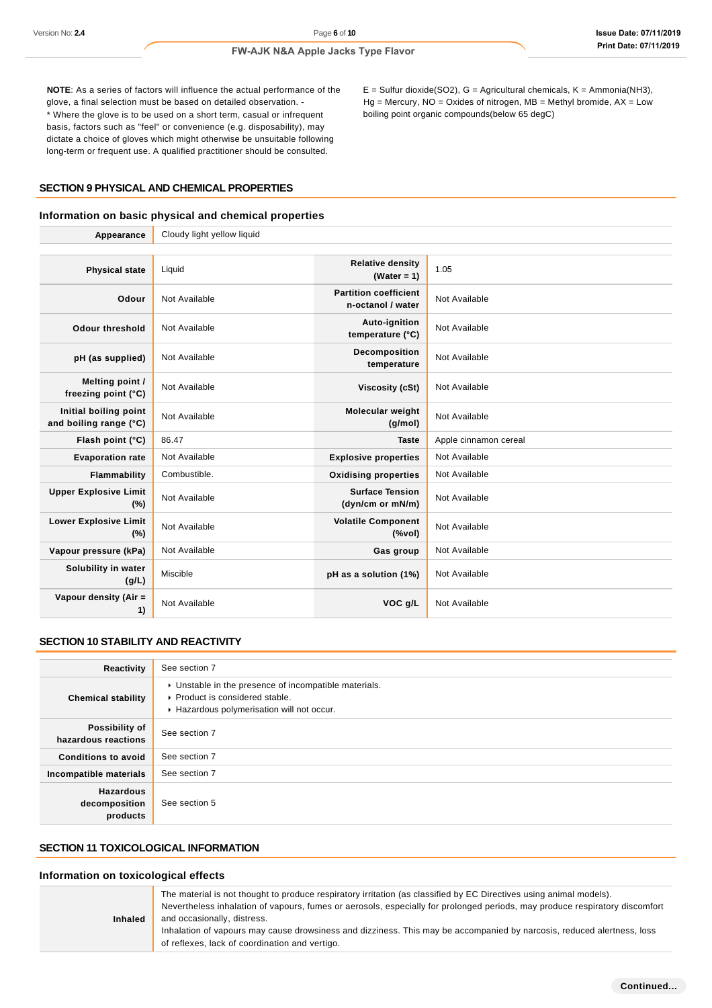$E =$  Sulfur dioxide(SO2), G = Agricultural chemicals, K = Ammonia(NH3),  $Hg =$  Mercury, NO = Oxides of nitrogen, MB = Methyl bromide, AX = Low

boiling point organic compounds(below 65 degC)

#### **FW-AJK N&A Apple Jacks Type Flavor**

**NOTE**: As a series of factors will influence the actual performance of the glove, a final selection must be based on detailed observation. - \* Where the glove is to be used on a short term, casual or infrequent basis, factors such as "feel" or convenience (e.g. disposability), may dictate a choice of gloves which might otherwise be unsuitable following long-term or frequent use. A qualified practitioner should be consulted.

**SECTION 9 PHYSICAL AND CHEMICAL PROPERTIES**

### **Information on basic physical and chemical properties**

| Appearance                                      | Cloudy light yellow liquid |                                                   |                       |  |
|-------------------------------------------------|----------------------------|---------------------------------------------------|-----------------------|--|
|                                                 |                            |                                                   |                       |  |
| <b>Physical state</b>                           | Liquid                     | <b>Relative density</b><br>(Water = $1$ )         | 1.05                  |  |
| Odour                                           | Not Available              | <b>Partition coefficient</b><br>n-octanol / water | Not Available         |  |
| <b>Odour threshold</b>                          | Not Available              | Auto-ignition<br>temperature (°C)                 | Not Available         |  |
| pH (as supplied)                                | Not Available              | Decomposition<br>temperature                      | Not Available         |  |
| Melting point /<br>freezing point (°C)          | Not Available              | Viscosity (cSt)                                   | Not Available         |  |
| Initial boiling point<br>and boiling range (°C) | Not Available              | Molecular weight<br>(g/mol)                       | Not Available         |  |
| Flash point (°C)                                | 86.47                      | <b>Taste</b>                                      | Apple cinnamon cereal |  |
| <b>Evaporation rate</b>                         | Not Available              | <b>Explosive properties</b>                       | Not Available         |  |
| Flammability                                    | Combustible.               | <b>Oxidising properties</b>                       | Not Available         |  |
| <b>Upper Explosive Limit</b><br>(%)             | Not Available              | <b>Surface Tension</b><br>(dyn/cm or mN/m)        | Not Available         |  |
| <b>Lower Explosive Limit</b><br>(%)             | Not Available              | <b>Volatile Component</b><br>(%                   | Not Available         |  |
| Vapour pressure (kPa)                           | Not Available              | Gas group                                         | Not Available         |  |
| Solubility in water<br>(g/L)                    | Miscible                   | pH as a solution (1%)                             | Not Available         |  |
| Vapour density (Air =<br>1)                     | Not Available              | VOC g/L                                           | Not Available         |  |

# **SECTION 10 STABILITY AND REACTIVITY**

| Reactivity                                    | See section 7                                                                                                                        |
|-----------------------------------------------|--------------------------------------------------------------------------------------------------------------------------------------|
| <b>Chemical stability</b>                     | • Unstable in the presence of incompatible materials.<br>▶ Product is considered stable.<br>Hazardous polymerisation will not occur. |
| Possibility of<br>hazardous reactions         | See section 7                                                                                                                        |
| <b>Conditions to avoid</b>                    | See section 7                                                                                                                        |
| Incompatible materials                        | See section 7                                                                                                                        |
| <b>Hazardous</b><br>decomposition<br>products | See section 5                                                                                                                        |

# **SECTION 11 TOXICOLOGICAL INFORMATION**

#### **Information on toxicological effects**

| <b>Inhaled</b> | The material is not thought to produce respiratory irritation (as classified by EC Directives using animal models).<br>Nevertheless inhalation of vapours, fumes or aerosols, especially for prolonged periods, may produce respiratory discomfort<br>and occasionally, distress.<br>Inhalation of vapours may cause drowsiness and dizziness. This may be accompanied by narcosis, reduced alertness, loss<br>of reflexes, lack of coordination and vertigo. |
|----------------|---------------------------------------------------------------------------------------------------------------------------------------------------------------------------------------------------------------------------------------------------------------------------------------------------------------------------------------------------------------------------------------------------------------------------------------------------------------|
|----------------|---------------------------------------------------------------------------------------------------------------------------------------------------------------------------------------------------------------------------------------------------------------------------------------------------------------------------------------------------------------------------------------------------------------------------------------------------------------|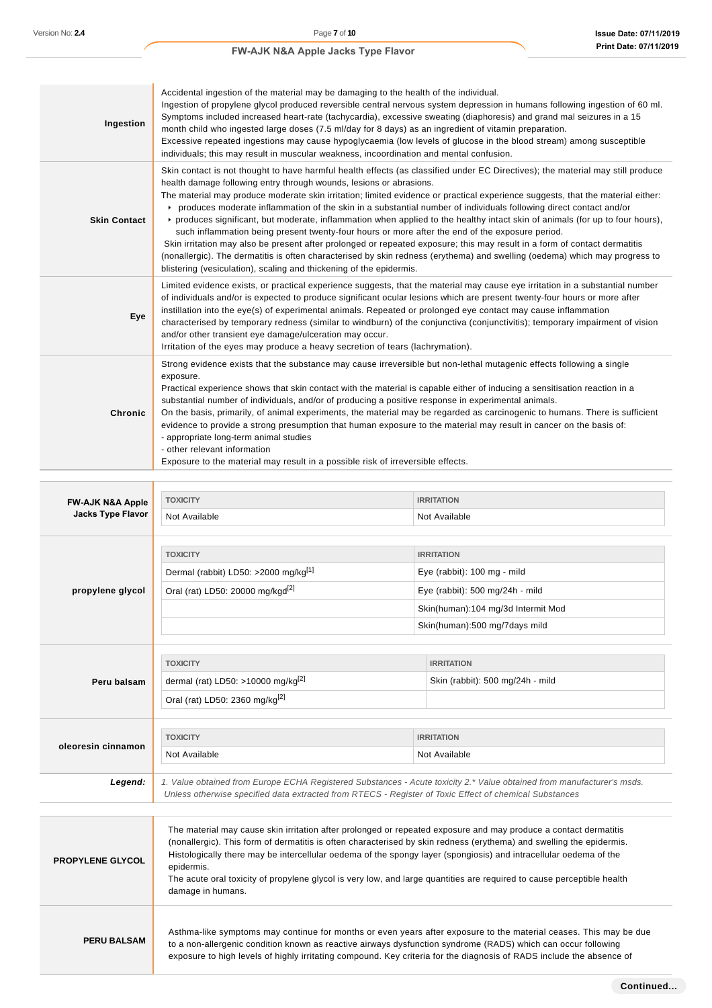| Ingestion                   | Accidental ingestion of the material may be damaging to the health of the individual.<br>Ingestion of propylene glycol produced reversible central nervous system depression in humans following ingestion of 60 ml.<br>Symptoms included increased heart-rate (tachycardia), excessive sweating (diaphoresis) and grand mal seizures in a 15<br>month child who ingested large doses (7.5 ml/day for 8 days) as an ingredient of vitamin preparation.<br>Excessive repeated ingestions may cause hypoglycaemia (low levels of glucose in the blood stream) among susceptible<br>individuals; this may result in muscular weakness, incoordination and mental confusion.                                                                                                                                                                                                                                                                                                                                                             |  |                                                                                                                   |
|-----------------------------|--------------------------------------------------------------------------------------------------------------------------------------------------------------------------------------------------------------------------------------------------------------------------------------------------------------------------------------------------------------------------------------------------------------------------------------------------------------------------------------------------------------------------------------------------------------------------------------------------------------------------------------------------------------------------------------------------------------------------------------------------------------------------------------------------------------------------------------------------------------------------------------------------------------------------------------------------------------------------------------------------------------------------------------|--|-------------------------------------------------------------------------------------------------------------------|
| <b>Skin Contact</b>         | Skin contact is not thought to have harmful health effects (as classified under EC Directives); the material may still produce<br>health damage following entry through wounds, lesions or abrasions.<br>The material may produce moderate skin irritation; limited evidence or practical experience suggests, that the material either:<br>produces moderate inflammation of the skin in a substantial number of individuals following direct contact and/or<br>▶ produces significant, but moderate, inflammation when applied to the healthy intact skin of animals (for up to four hours),<br>such inflammation being present twenty-four hours or more after the end of the exposure period.<br>Skin irritation may also be present after prolonged or repeated exposure; this may result in a form of contact dermatitis<br>(nonallergic). The dermatitis is often characterised by skin redness (erythema) and swelling (oedema) which may progress to<br>blistering (vesiculation), scaling and thickening of the epidermis. |  |                                                                                                                   |
| Eye                         | Limited evidence exists, or practical experience suggests, that the material may cause eye irritation in a substantial number<br>of individuals and/or is expected to produce significant ocular lesions which are present twenty-four hours or more after<br>instillation into the eye(s) of experimental animals. Repeated or prolonged eye contact may cause inflammation<br>characterised by temporary redness (similar to windburn) of the conjunctiva (conjunctivitis); temporary impairment of vision<br>and/or other transient eye damage/ulceration may occur.<br>Irritation of the eyes may produce a heavy secretion of tears (lachrymation).                                                                                                                                                                                                                                                                                                                                                                             |  |                                                                                                                   |
| Chronic                     | Strong evidence exists that the substance may cause irreversible but non-lethal mutagenic effects following a single<br>exposure.<br>Practical experience shows that skin contact with the material is capable either of inducing a sensitisation reaction in a<br>substantial number of individuals, and/or of producing a positive response in experimental animals.<br>On the basis, primarily, of animal experiments, the material may be regarded as carcinogenic to humans. There is sufficient<br>evidence to provide a strong presumption that human exposure to the material may result in cancer on the basis of:<br>- appropriate long-term animal studies<br>- other relevant information<br>Exposure to the material may result in a possible risk of irreversible effects.                                                                                                                                                                                                                                             |  |                                                                                                                   |
|                             |                                                                                                                                                                                                                                                                                                                                                                                                                                                                                                                                                                                                                                                                                                                                                                                                                                                                                                                                                                                                                                      |  |                                                                                                                   |
| <b>FW-AJK N&amp;A Apple</b> | <b>TOXICITY</b>                                                                                                                                                                                                                                                                                                                                                                                                                                                                                                                                                                                                                                                                                                                                                                                                                                                                                                                                                                                                                      |  | <b>IRRITATION</b>                                                                                                 |
| <b>Jacks Type Flavor</b>    | Not Available                                                                                                                                                                                                                                                                                                                                                                                                                                                                                                                                                                                                                                                                                                                                                                                                                                                                                                                                                                                                                        |  | Not Available                                                                                                     |
|                             |                                                                                                                                                                                                                                                                                                                                                                                                                                                                                                                                                                                                                                                                                                                                                                                                                                                                                                                                                                                                                                      |  |                                                                                                                   |
|                             | <b>TOXICITY</b>                                                                                                                                                                                                                                                                                                                                                                                                                                                                                                                                                                                                                                                                                                                                                                                                                                                                                                                                                                                                                      |  | <b>IRRITATION</b>                                                                                                 |
|                             | Dermal (rabbit) LD50: >2000 mg/kg <sup>[1]</sup>                                                                                                                                                                                                                                                                                                                                                                                                                                                                                                                                                                                                                                                                                                                                                                                                                                                                                                                                                                                     |  | Eye (rabbit): 100 mg - mild                                                                                       |
| propylene glycol            | Oral (rat) LD50: 20000 mg/kgd <sup>[2]</sup>                                                                                                                                                                                                                                                                                                                                                                                                                                                                                                                                                                                                                                                                                                                                                                                                                                                                                                                                                                                         |  | Eye (rabbit): 500 mg/24h - mild                                                                                   |
|                             |                                                                                                                                                                                                                                                                                                                                                                                                                                                                                                                                                                                                                                                                                                                                                                                                                                                                                                                                                                                                                                      |  | Skin(human):104 mg/3d Intermit Mod                                                                                |
|                             |                                                                                                                                                                                                                                                                                                                                                                                                                                                                                                                                                                                                                                                                                                                                                                                                                                                                                                                                                                                                                                      |  | Skin(human):500 mg/7days mild                                                                                     |
|                             |                                                                                                                                                                                                                                                                                                                                                                                                                                                                                                                                                                                                                                                                                                                                                                                                                                                                                                                                                                                                                                      |  |                                                                                                                   |
|                             | <b>TOXICITY</b>                                                                                                                                                                                                                                                                                                                                                                                                                                                                                                                                                                                                                                                                                                                                                                                                                                                                                                                                                                                                                      |  | <b>IRRITATION</b>                                                                                                 |
| Peru balsam                 | dermal (rat) LD50: >10000 mg/kg <sup>[2]</sup>                                                                                                                                                                                                                                                                                                                                                                                                                                                                                                                                                                                                                                                                                                                                                                                                                                                                                                                                                                                       |  | Skin (rabbit): 500 mg/24h - mild                                                                                  |
|                             | Oral (rat) LD50: 2360 mg/kg[2]                                                                                                                                                                                                                                                                                                                                                                                                                                                                                                                                                                                                                                                                                                                                                                                                                                                                                                                                                                                                       |  |                                                                                                                   |
|                             |                                                                                                                                                                                                                                                                                                                                                                                                                                                                                                                                                                                                                                                                                                                                                                                                                                                                                                                                                                                                                                      |  |                                                                                                                   |
| oleoresin cinnamon          | <b>TOXICITY</b>                                                                                                                                                                                                                                                                                                                                                                                                                                                                                                                                                                                                                                                                                                                                                                                                                                                                                                                                                                                                                      |  | <b>IRRITATION</b>                                                                                                 |
|                             | Not Available                                                                                                                                                                                                                                                                                                                                                                                                                                                                                                                                                                                                                                                                                                                                                                                                                                                                                                                                                                                                                        |  | Not Available                                                                                                     |
| Legend:                     | 1. Value obtained from Europe ECHA Registered Substances - Acute toxicity 2.* Value obtained from manufacturer's msds.<br>Unless otherwise specified data extracted from RTECS - Register of Toxic Effect of chemical Substances                                                                                                                                                                                                                                                                                                                                                                                                                                                                                                                                                                                                                                                                                                                                                                                                     |  |                                                                                                                   |
| <b>PROPYLENE GLYCOL</b>     | The material may cause skin irritation after prolonged or repeated exposure and may produce a contact dermatitis<br>(nonallergic). This form of dermatitis is often characterised by skin redness (erythema) and swelling the epidermis.<br>Histologically there may be intercellular oedema of the spongy layer (spongiosis) and intracellular oedema of the<br>epidermis.<br>The acute oral toxicity of propylene glycol is very low, and large quantities are required to cause perceptible health<br>damage in humans.                                                                                                                                                                                                                                                                                                                                                                                                                                                                                                           |  |                                                                                                                   |
| <b>PERU BALSAM</b>          | to a non-allergenic condition known as reactive airways dysfunction syndrome (RADS) which can occur following                                                                                                                                                                                                                                                                                                                                                                                                                                                                                                                                                                                                                                                                                                                                                                                                                                                                                                                        |  | Asthma-like symptoms may continue for months or even years after exposure to the material ceases. This may be due |

exposure to high levels of highly irritating compound. Key criteria for the diagnosis of RADS include the absence of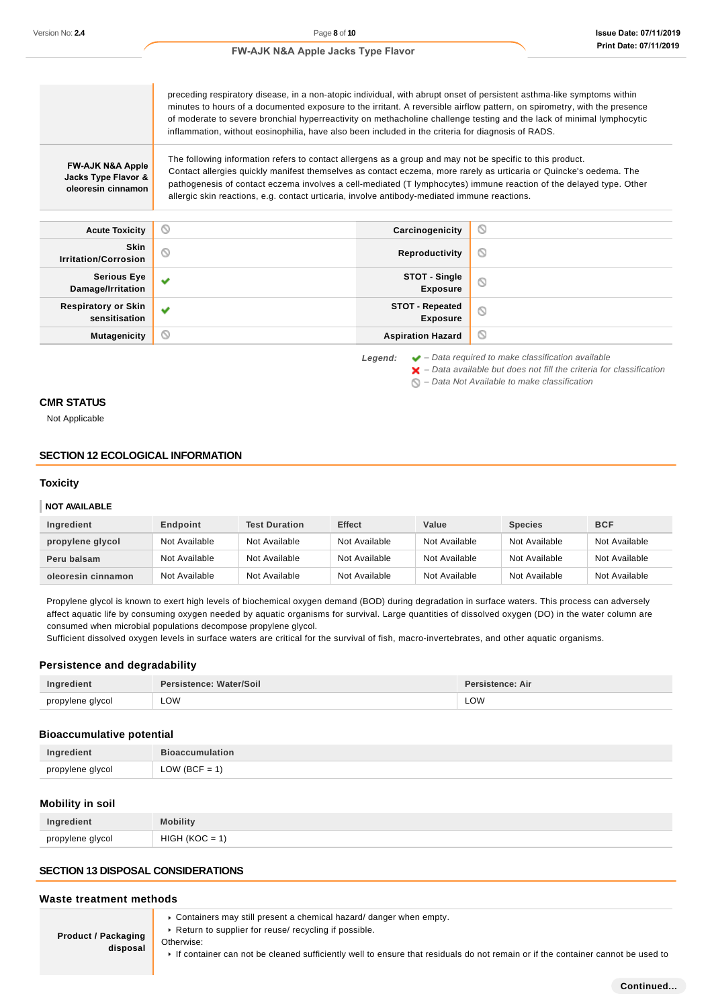preceding respiratory disease, in a non-atopic individual, with abrupt onset of persistent asthma-like symptoms within minutes to hours of a documented exposure to the irritant. A reversible airflow pattern, on spirometry, with the presence of moderate to severe bronchial hyperreactivity on methacholine challenge testing and the lack of minimal lymphocytic inflammation, without eosinophilia, have also been included in the criteria for diagnosis of RADS. The following information refers to contact allergens as a group and may not be specific to this product. **FW-AJK N&A Apple** Contact allergies quickly manifest themselves as contact eczema, more rarely as urticaria or Quincke's oedema. The **Jacks Type Flavor &** pathogenesis of contact eczema involves a cell-mediated (T lymphocytes) immune reaction of the delayed type. Other **oleoresin cinnamon** allergic skin reactions, e.g. contact urticaria, involve antibody-mediated immune reactions. **Acute Toxicity Carcinogenicity**  $\circ$ **Skin I**rritation/Corrosion **Community in the Community of the Community of the Reproductivity**  $\circ$ **STOT - Single Serious Eye** w  $\circledcirc$ **Damage/Irritation Exposure Respiratory or Skin STOT - Repeated** W  $\circ$ **sensitisation Exposure Mutagenicity CONSISTENT CONSISTENT ASPIRATION HAZARD**  $\circ$ 

**Legend:** – Data required to make classification available

 $\blacktriangleright$  – Data available but does not fill the criteria for classification

 $\bigcirc$  – Data Not Available to make classification

#### **CMR STATUS**

Not Applicable

#### **SECTION 12 ECOLOGICAL INFORMATION**

#### **Toxicity**

#### **NOT AVAILABLE**

| Ingredient         | Endpoint      | <b>Test Duration</b> | <b>Effect</b> | Value         | <b>Species</b> | <b>BCF</b>    |
|--------------------|---------------|----------------------|---------------|---------------|----------------|---------------|
| propylene glycol   | Not Available | Not Available        | Not Available | Not Available | Not Available  | Not Available |
| Peru balsam        | Not Available | Not Available        | Not Available | Not Available | Not Available  | Not Available |
| oleoresin cinnamon | Not Available | Not Available        | Not Available | Not Available | Not Available  | Not Available |

Propylene glycol is known to exert high levels of biochemical oxygen demand (BOD) during degradation in surface waters. This process can adversely affect aquatic life by consuming oxygen needed by aquatic organisms for survival. Large quantities of dissolved oxygen (DO) in the water column are consumed when microbial populations decompose propylene glycol.

Sufficient dissolved oxygen levels in surface waters are critical for the survival of fish, macro-invertebrates, and other aquatic organisms.

#### **Persistence and degradability**

| Ingredient       | Persistence: Water/Soil | sistence: Air |
|------------------|-------------------------|---------------|
| propylene glycol |                         |               |
|                  | LOW                     | <b>LOW</b>    |

#### **Bioaccumulative potential**

|                                                                    | $\overline{\phantom{a}}$<br>. |
|--------------------------------------------------------------------|-------------------------------|
| nronylan<br>امعسا<br>w<br>the contract of the contract of the con- | --                            |

#### **Mobility in soil**

| Ingredient       | <b>Mobility</b>             |
|------------------|-----------------------------|
| propylene glycol | HIGH<br>1000<br>$\lambda =$ |

### **SECTION 13 DISPOSAL CONSIDERATIONS**

#### **Waste treatment methods**

**Product / Packaging**

Containers may still present a chemical hazard/ danger when empty.

▶ Return to supplier for reuse/ recycling if possible.

**disposal** Otherwise:

If container can not be cleaned sufficiently well to ensure that residuals do not remain or if the container cannot be used to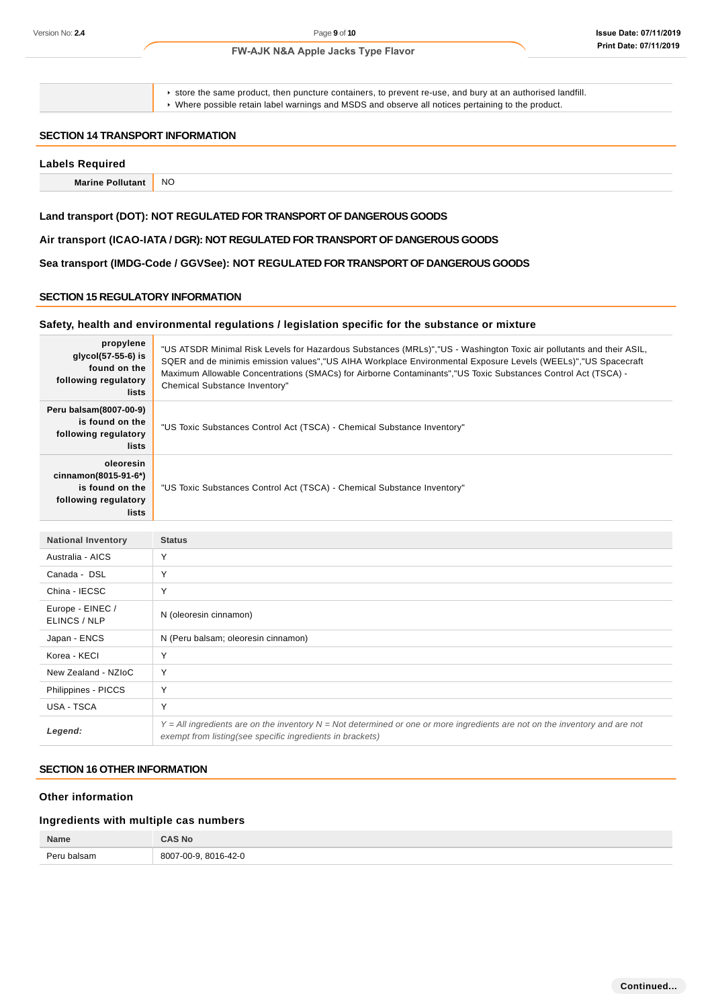store the same product, then puncture containers, to prevent re-use, and bury at an authorised landfill. Where possible retain label warnings and MSDS and observe all notices pertaining to the product.

#### **SECTION 14 TRANSPORT INFORMATION**

### **Labels Required**

**Marine Pollutant** NO

# **Land transport (DOT): NOT REGULATED FOR TRANSPORT OF DANGEROUS GOODS**

# **Air transport (ICAO-IATA / DGR): NOT REGULATED FOR TRANSPORT OF DANGEROUS GOODS**

**Sea transport (IMDG-Code / GGVSee): NOT REGULATED FOR TRANSPORT OF DANGEROUS GOODS**

# **SECTION 15 REGULATORY INFORMATION**

### **Safety, health and environmental regulations / legislation specific for the substance or mixture**

| propylene<br>$q$ q $(col(57-55-6))$ is<br>found on the<br>following regulatory<br>lists | "US ATSDR Minimal Risk Levels for Hazardous Substances (MRLs)","US - Washington Toxic air pollutants and their ASIL,<br>SQER and de minimis emission values", "US AIHA Workplace Environmental Exposure Levels (WEELs)", "US Spacecraft<br>Maximum Allowable Concentrations (SMACs) for Airborne Contaminants", "US Toxic Substances Control Act (TSCA) -<br>Chemical Substance Inventory" |
|-----------------------------------------------------------------------------------------|--------------------------------------------------------------------------------------------------------------------------------------------------------------------------------------------------------------------------------------------------------------------------------------------------------------------------------------------------------------------------------------------|
| Peru balsam(8007-00-9)<br>is found on the<br>following regulatory<br>lists              | "US Toxic Substances Control Act (TSCA) - Chemical Substance Inventory"                                                                                                                                                                                                                                                                                                                    |
| oleoresin<br>cinnamon(8015-91-6*)<br>is found on the<br>following regulatory<br>lists   | "US Toxic Substances Control Act (TSCA) - Chemical Substance Inventory"                                                                                                                                                                                                                                                                                                                    |

| <b>National Inventory</b>        | <b>Status</b>                                                                                                                                                                                |
|----------------------------------|----------------------------------------------------------------------------------------------------------------------------------------------------------------------------------------------|
| Australia - AICS                 | Y                                                                                                                                                                                            |
| Canada - DSL                     | Y                                                                                                                                                                                            |
| China - IECSC                    | Υ                                                                                                                                                                                            |
| Europe - EINEC /<br>ELINCS / NLP | N (oleoresin cinnamon)                                                                                                                                                                       |
| Japan - ENCS                     | N (Peru balsam; oleoresin cinnamon)                                                                                                                                                          |
| Korea - KECI                     | $\checkmark$                                                                                                                                                                                 |
| New Zealand - NZIoC              | Υ                                                                                                                                                                                            |
| Philippines - PICCS              | Υ                                                                                                                                                                                            |
| USA - TSCA                       | Υ                                                                                                                                                                                            |
| Legend:                          | $Y = All$ ingredients are on the inventory $N = Not$ determined or one or more ingredients are not on the inventory and are not<br>exempt from listing(see specific ingredients in brackets) |

# **SECTION 16 OTHER INFORMATION**

# **Other information**

# **Ingredients with multiple cas numbers**

| Name        | <b>AS No</b>            |
|-------------|-------------------------|
| Peru balsam | 8007-00-9.<br>8016-42-0 |